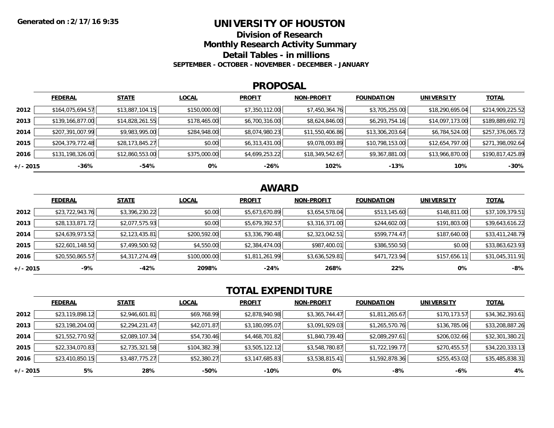### **UNIVERSITY OF HOUSTON**

**Division of Research**

**Monthly Research Activity Summary**

**Detail Tables - in millions**

**SEPTEMBER - OCTOBER - NOVEMBER - DECEMBER - JANUARY**

#### **PROPOSAL**

|            | <b>FEDERAL</b>   | <b>STATE</b>    | <b>LOCAL</b> | <b>PROFIT</b>  | <b>NON-PROFIT</b> | <b>FOUNDATION</b> | <b>UNIVERSITY</b> | <b>TOTAL</b>     |
|------------|------------------|-----------------|--------------|----------------|-------------------|-------------------|-------------------|------------------|
| 2012       | \$164,075,694.57 | \$13,887,104.15 | \$150,000.00 | \$7,350,112.00 | \$7,450,364.76    | \$3,705,255.00    | \$18,290,695.04   | \$214,909,225.52 |
| 2013       | \$139,166,877.00 | \$14,828,261.55 | \$178,465.00 | \$6,700,316.00 | \$8,624,846.00    | \$6,293,754.16    | \$14,097,173.00   | \$189,889,692.71 |
| 2014       | \$207,391,007.99 | \$9,983,995.00  | \$284,948.00 | \$8,074,980.23 | \$11,550,406.86   | \$13,306,203.64   | \$6,784,524.00    | \$257,376,065.72 |
| 2015       | \$204,379,772.48 | \$28,173,845.27 | \$0.00       | \$6,313,431.00 | \$9,078,093.89    | \$10,798,153.00   | \$12,654,797.00   | \$271,398,092.64 |
| 2016       | \$131,198,326.00 | \$12,860,553.00 | \$375,000.00 | \$4,699,253.22 | \$18,349,542.67   | \$9,367,881.00    | \$13,966,870.00   | \$190,817,425.89 |
| $+/- 2015$ | -36%             | -54%            | 0%           | -26%           | 102%              | $-13%$            | 10%               | $-30%$           |

# **AWARD**

|          | <b>FEDERAL</b>  | <b>STATE</b>   | <b>LOCAL</b> | <b>PROFIT</b>  | <b>NON-PROFIT</b> | <b>FOUNDATION</b> | <b>UNIVERSITY</b> | <b>TOTAL</b>    |
|----------|-----------------|----------------|--------------|----------------|-------------------|-------------------|-------------------|-----------------|
| 2012     | \$23,722,943.76 | \$3,396,230.22 | \$0.00       | \$5,673,670.89 | \$3,654,578.04    | \$513,145.60      | \$148,811.00      | \$37,109,379.51 |
| 2013     | \$28,133,871.72 | \$2,077,575.93 | \$0.00       | \$5,679,392.57 | \$3,316,371.00    | \$244,602.00      | \$191,803.00      | \$39,643,616.22 |
| 2014     | \$24,639,973.52 | \$2,123,435.81 | \$200,592.00 | \$3,336,790.48 | \$2,323,042.51    | \$599,774.47      | \$187,640.00      | \$33,411,248.79 |
| 2015     | \$22,601,148.50 | \$7,499,500.92 | \$4,550.00   | \$2,384,474.00 | \$987,400.01      | \$386,550.50      | \$0.00            | \$33,863,623.93 |
| 2016     | \$20,550,865.57 | \$4,317,274.49 | \$100,000.00 | \$1,811,261.99 | \$3,636,529.81    | \$471,723.94      | \$157,656.11      | \$31,045,311.91 |
| +/- 2015 | $-9%$           | -42%           | 2098%        | $-24%$         | 268%              | 22%               | 0%                | $-8%$           |

# **TOTAL EXPENDITURE**

|            | <b>FEDERAL</b>  | <b>STATE</b>   | <b>LOCAL</b> | <b>PROFIT</b>  | <b>NON-PROFIT</b> | <b>FOUNDATION</b> | <b>UNIVERSITY</b> | <b>TOTAL</b>    |
|------------|-----------------|----------------|--------------|----------------|-------------------|-------------------|-------------------|-----------------|
| 2012       | \$23,119,898.12 | \$2,946,601.81 | \$69,768.99  | \$2,878,940.98 | \$3,365,744.47    | \$1,811,265.67    | \$170,173.57      | \$34,362,393.61 |
| 2013       | \$23,198,204.00 | \$2,294,231.47 | \$42,071.87  | \$3,180,095.07 | \$3,091,929.03    | \$1,265,570.76    | \$136,785.06      | \$33,208,887.26 |
| 2014       | \$21,552,770.92 | \$2,089,107.34 | \$54,730.46  | \$4,468,701.82 | \$1,840,739.40    | \$2,089,297.61    | \$206,032.66      | \$32,301,380.21 |
| 2015       | \$22,334,070.83 | \$2,735,321.58 | \$104,382.39 | \$3,505,122.12 | \$3,548,780.87    | \$1,722,199.77    | \$270,455.57      | \$34,220,333.13 |
| 2016       | \$23,410,850.15 | \$3,487,775.27 | \$52,380.27  | \$3,147,685.83 | \$3,538,815.41    | \$1,592,878.36    | \$255,453.02      | \$35,485,838.31 |
| $+/- 2015$ | 5%              | 28%            | -50%         | -10%           | 0%                | -8%               | -6%               | 4%              |